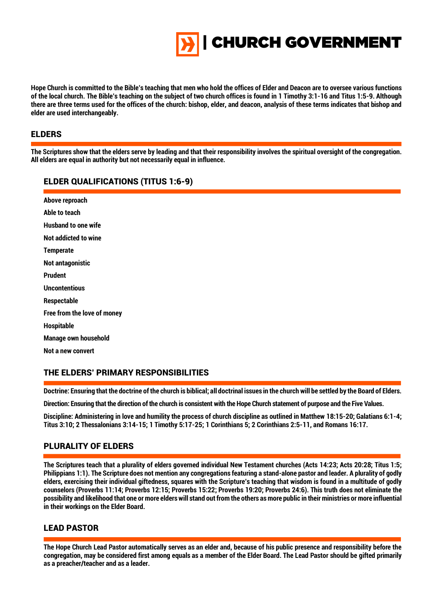

**Hope Church is committed to the Bible's teaching that men who hold the offices of Elder and Deacon are to oversee various functions of the local church. The Bible's teaching on the subject of two church offices is found in 1 Timothy 3:1-16 and Titus 1:5-9. Although there are three terms used for the offices of the church: bishop, elder, and deacon, analysis of these terms indicates that bishop and elder are used interchangeably.**

### ELDERS

İ **The Scriptures show that the elders serve by leading and that their responsibility involves the spiritual oversight of the congregation. All elders are equal in authority but not necessarily equal in influence.**

### ELDER QUALIFICATIONS (TITUS 1:6-9)

**Above reproach Able to teach Husband to one wife Not addicted to wine Temperate Not antagonistic Prudent Uncontentious Respectable Free from the love of money Hospitable Manage own household Not a new convert**

### THE ELDERS' PRIMARY RESPONSIBILITIES

 $\overline{\phantom{a}}$ **Doctrine: Ensuring that the doctrine of the church is biblical; all doctrinal issues in the church will be settled by the Board of Elders.**

**Direction: Ensuring that the direction of the church is consistent with the Hope Church statement of purpose and the Five Values.**

**Discipline: Administering in love and humility the process of church discipline as outlined in Matthew 18:15-20; Galatians 6:1-4; Titus 3:10; 2 Thessalonians 3:14-15; 1 Timothy 5:17-25; 1 Corinthians 5; 2 Corinthians 2:5-11, and Romans 16:17.**

## PLURALITY OF ELDERS

**The Scriptures teach that a plurality of elders governed individual New Testament churches (Acts 14:23; Acts 20:28; Titus 1:5; Philippians 1:1). The Scripture does not mention any congregations featuring a stand-alone pastor and leader. A plurality of godly elders, exercising their individual giftedness, squares with the Scripture's teaching that wisdom is found in a multitude of godly counselors (Proverbs 11:14; Proverbs 12:15; Proverbs 15:22; Proverbs 19:20; Proverbs 24:6). This truth does not eliminate the possibility and likelihood that one or more elders will stand out from the others as more public in their ministries or more influential in their workings on the Elder Board.**

### LEAD PASTOR

l

I **The Hope Church Lead Pastor automatically serves as an elder and, because of his public presence and responsibility before the congregation, may be considered first among equals as a member of the Elder Board. The Lead Pastor should be gifted primarily as a preacher/teacher and as a leader.**